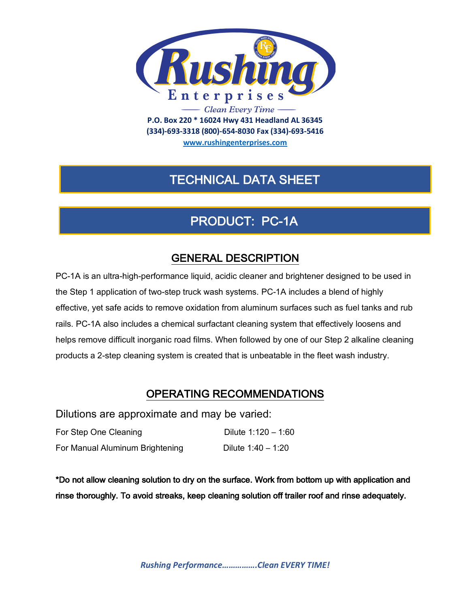

**(334)-693-3318 (800)-654-8030 Fax (334)-693-5416**

**www.rushingenterprises.com**

## TECHNICAL DATA SHEET

# PRODUCT: PC-1A

### GENERAL DESCRIPTION

PC-1A is an ultra-high-performance liquid, acidic cleaner and brightener designed to be used in the Step 1 application of two-step truck wash systems. PC-1A includes a blend of highly effective, yet safe acids to remove oxidation from aluminum surfaces such as fuel tanks and rub rails. PC-1A also includes a chemical surfactant cleaning system that effectively loosens and helps remove difficult inorganic road films. When followed by one of our Step 2 alkaline cleaning products a 2-step cleaning system is created that is unbeatable in the fleet wash industry.

#### OPERATING RECOMMENDATIONS

Dilutions are approximate and may be varied:

| For Step One Cleaning           | Dilute $1:120 - 1:60$ |
|---------------------------------|-----------------------|
| For Manual Aluminum Brightening | Dilute $1:40 - 1:20$  |

\*Do not allow cleaning solution to dry on the surface. Work from bottom up with application and rinse thoroughly. To avoid streaks, keep cleaning solution off trailer roof and rinse adequately.

*Rushing Performance…………….Clean EVERY TIME!*